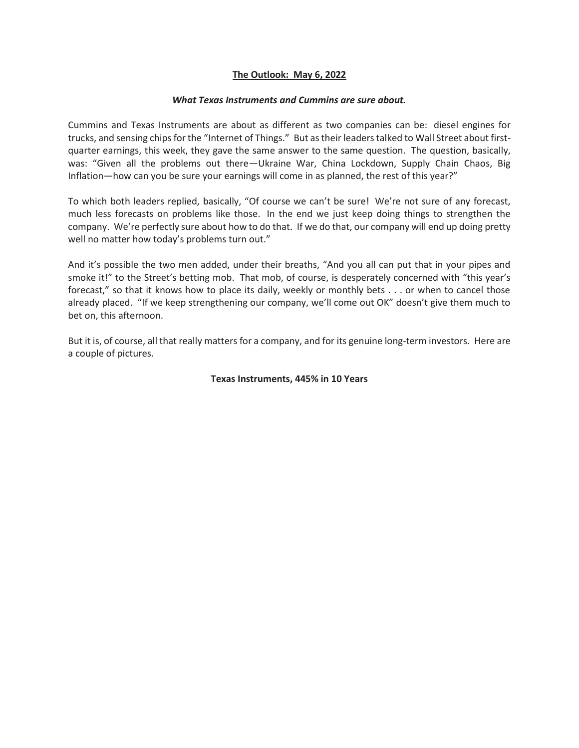## **The Outlook: May 6, 2022**

## *What Texas Instruments and Cummins are sure about.*

Cummins and Texas Instruments are about as different as two companies can be: diesel engines for trucks, and sensing chips for the "Internet of Things." But as their leaders talked to Wall Street about firstquarter earnings, this week, they gave the same answer to the same question. The question, basically, was: "Given all the problems out there—Ukraine War, China Lockdown, Supply Chain Chaos, Big Inflation—how can you be sure your earnings will come in as planned, the rest of this year?"

To which both leaders replied, basically, "Of course we can't be sure! We're not sure of any forecast, much less forecasts on problems like those. In the end we just keep doing things to strengthen the company. We're perfectly sure about how to do that. If we do that, our company will end up doing pretty well no matter how today's problems turn out."

And it's possible the two men added, under their breaths, "And you all can put that in your pipes and smoke it!" to the Street's betting mob. That mob, of course, is desperately concerned with "this year's forecast," so that it knows how to place its daily, weekly or monthly bets . . . or when to cancel those already placed. "If we keep strengthening our company, we'll come out OK" doesn't give them much to bet on, this afternoon.

But it is, of course, all that really matters for a company, and for its genuine long-term investors. Here are a couple of pictures.

## **Texas Instruments, 445% in 10 Years**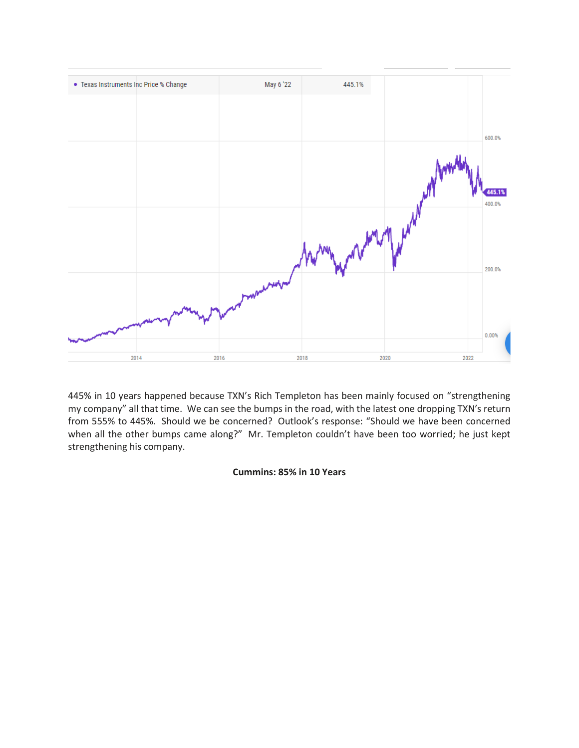

445% in 10 years happened because TXN's Rich Templeton has been mainly focused on "strengthening my company" all that time. We can see the bumps in the road, with the latest one dropping TXN's return from 555% to 445%. Should we be concerned? Outlook's response: "Should we have been concerned when all the other bumps came along?" Mr. Templeton couldn't have been too worried; he just kept strengthening his company.

## **Cummins: 85% in 10 Years**